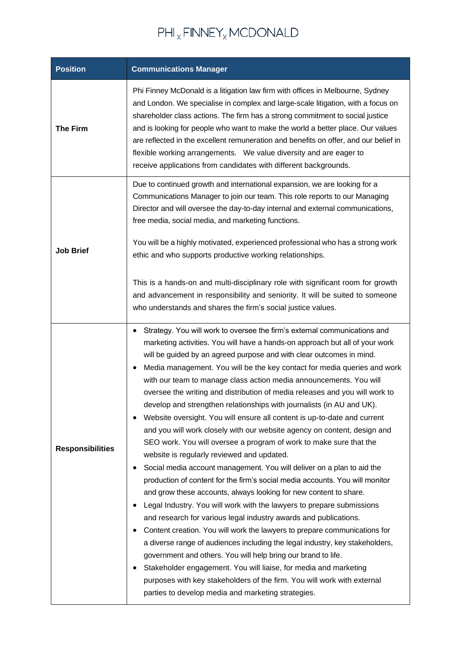## $\mathsf{PHI}_X \mathsf{FINN E}\mathsf{Y}_X \mathsf{M CDOMALD}$

| <b>Position</b>         | <b>Communications Manager</b>                                                                                                                                                                                                                                                                                                                                                                                                                                                                                                                                                                                                                                                                                                                                                                                                                                                                                                                                                                                                                                                                                                                                                                                                                                                                                                                                                                                                                                                                                                                                                                                                                                      |
|-------------------------|--------------------------------------------------------------------------------------------------------------------------------------------------------------------------------------------------------------------------------------------------------------------------------------------------------------------------------------------------------------------------------------------------------------------------------------------------------------------------------------------------------------------------------------------------------------------------------------------------------------------------------------------------------------------------------------------------------------------------------------------------------------------------------------------------------------------------------------------------------------------------------------------------------------------------------------------------------------------------------------------------------------------------------------------------------------------------------------------------------------------------------------------------------------------------------------------------------------------------------------------------------------------------------------------------------------------------------------------------------------------------------------------------------------------------------------------------------------------------------------------------------------------------------------------------------------------------------------------------------------------------------------------------------------------|
| <b>The Firm</b>         | Phi Finney McDonald is a litigation law firm with offices in Melbourne, Sydney<br>and London. We specialise in complex and large-scale litigation, with a focus on<br>shareholder class actions. The firm has a strong commitment to social justice<br>and is looking for people who want to make the world a better place. Our values<br>are reflected in the excellent remuneration and benefits on offer, and our belief in<br>flexible working arrangements. We value diversity and are eager to<br>receive applications from candidates with different backgrounds.                                                                                                                                                                                                                                                                                                                                                                                                                                                                                                                                                                                                                                                                                                                                                                                                                                                                                                                                                                                                                                                                                           |
| <b>Job Brief</b>        | Due to continued growth and international expansion, we are looking for a<br>Communications Manager to join our team. This role reports to our Managing<br>Director and will oversee the day-to-day internal and external communications,<br>free media, social media, and marketing functions.<br>You will be a highly motivated, experienced professional who has a strong work<br>ethic and who supports productive working relationships.<br>This is a hands-on and multi-disciplinary role with significant room for growth<br>and advancement in responsibility and seniority. It will be suited to someone<br>who understands and shares the firm's social justice values.                                                                                                                                                                                                                                                                                                                                                                                                                                                                                                                                                                                                                                                                                                                                                                                                                                                                                                                                                                                  |
| <b>Responsibilities</b> | Strategy. You will work to oversee the firm's external communications and<br>٠<br>marketing activities. You will have a hands-on approach but all of your work<br>will be guided by an agreed purpose and with clear outcomes in mind.<br>Media management. You will be the key contact for media queries and work<br>٠<br>with our team to manage class action media announcements. You will<br>oversee the writing and distribution of media releases and you will work to<br>develop and strengthen relationships with journalists (in AU and UK).<br>Website oversight. You will ensure all content is up-to-date and current<br>and you will work closely with our website agency on content, design and<br>SEO work. You will oversee a program of work to make sure that the<br>website is regularly reviewed and updated.<br>Social media account management. You will deliver on a plan to aid the<br>٠<br>production of content for the firm's social media accounts. You will monitor<br>and grow these accounts, always looking for new content to share.<br>Legal Industry. You will work with the lawyers to prepare submissions<br>and research for various legal industry awards and publications.<br>Content creation. You will work the lawyers to prepare communications for<br>a diverse range of audiences including the legal industry, key stakeholders,<br>government and others. You will help bring our brand to life.<br>Stakeholder engagement. You will liaise, for media and marketing<br>$\bullet$<br>purposes with key stakeholders of the firm. You will work with external<br>parties to develop media and marketing strategies. |